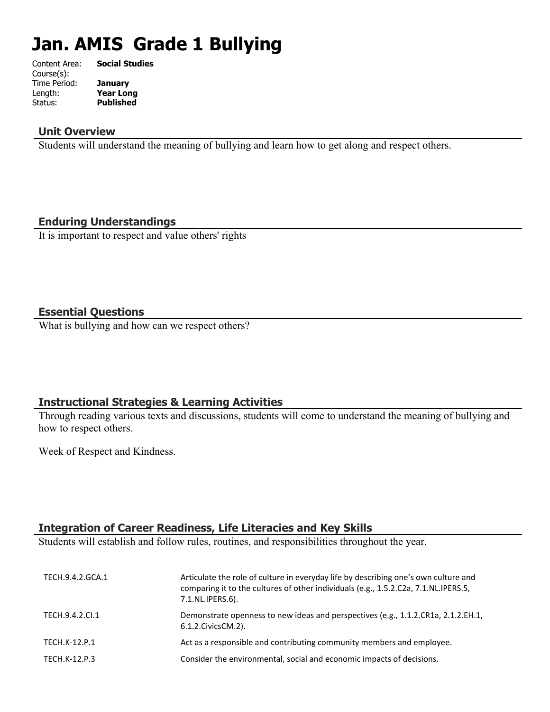# **Jan. AMIS Grade 1 Bullying**

| Content Area: | <b>Social Studies</b> |
|---------------|-----------------------|
| Course(s):    |                       |
| Time Period:  | <b>January</b>        |
| Length:       | <b>Year Long</b>      |
| Status:       | <b>Published</b>      |
|               |                       |

#### **Unit Overview**

Students will understand the meaning of bullying and learn how to get along and respect others.

#### **Enduring Understandings**

It is important to respect and value others' rights

#### **Essential Questions**

What is bullying and how can we respect others?

#### **Instructional Strategies & Learning Activities**

Through reading various texts and discussions, students will come to understand the meaning of bullying and how to respect others.

Week of Respect and Kindness.

# **Integration of Career Readiness, Life Literacies and Key Skills**

Students will establish and follow rules, routines, and responsibilities throughout the year.

| TECH.9.4.2.GCA.1     | Articulate the role of culture in everyday life by describing one's own culture and<br>comparing it to the cultures of other individuals (e.g., 1.5.2.C2a, 7.1.NL.IPERS.5,<br>7.1.NL.IPERS.6). |
|----------------------|------------------------------------------------------------------------------------------------------------------------------------------------------------------------------------------------|
| TECH.9.4.2.CI.1      | Demonstrate openness to new ideas and perspectives (e.g., 1.1.2.CR1a, 2.1.2.EH.1,<br>6.1.2. Civics CM. 2).                                                                                     |
| <b>TECH.K-12.P.1</b> | Act as a responsible and contributing community members and employee.                                                                                                                          |
| TECH.K-12.P.3        | Consider the environmental, social and economic impacts of decisions.                                                                                                                          |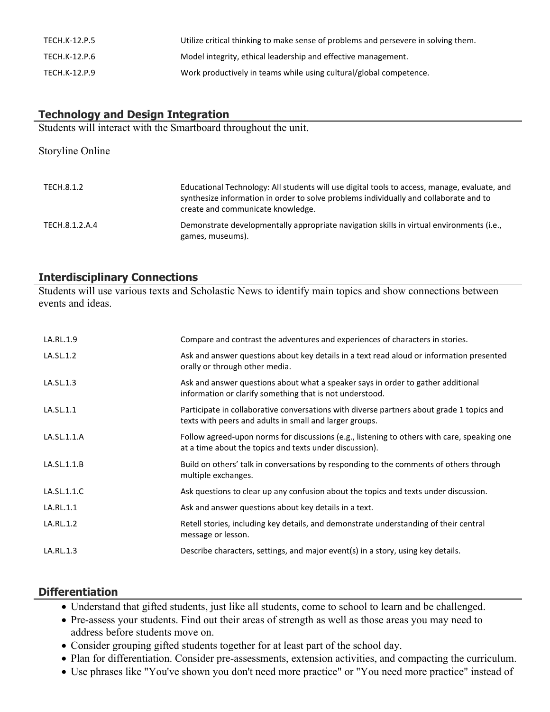| TECH.K-12.P.5 | Utilize critical thinking to make sense of problems and persevere in solving them. |
|---------------|------------------------------------------------------------------------------------|
| TECH.K-12.P.6 | Model integrity, ethical leadership and effective management.                      |
| TECH.K-12.P.9 | Work productively in teams while using cultural/global competence.                 |

## **Technology and Design Integration**

Students will interact with the Smartboard throughout the unit.

| Storyline Online |                                                                                                                                                                                                                            |
|------------------|----------------------------------------------------------------------------------------------------------------------------------------------------------------------------------------------------------------------------|
| TECH.8.1.2       | Educational Technology: All students will use digital tools to access, manage, evaluate, and<br>synthesize information in order to solve problems individually and collaborate and to<br>create and communicate knowledge. |
| TECH.8.1.2.A.4   | Demonstrate developmentally appropriate navigation skills in virtual environments (i.e.,<br>games, museums).                                                                                                               |

### **Interdisciplinary Connections**

Students will use various texts and Scholastic News to identify main topics and show connections between events and ideas.

| LA.RL.1.9   | Compare and contrast the adventures and experiences of characters in stories.                                                                          |
|-------------|--------------------------------------------------------------------------------------------------------------------------------------------------------|
| LA.SL.1.2   | Ask and answer questions about key details in a text read aloud or information presented<br>orally or through other media.                             |
| LA.SL.1.3   | Ask and answer questions about what a speaker says in order to gather additional<br>information or clarify something that is not understood.           |
| LA.SL.1.1   | Participate in collaborative conversations with diverse partners about grade 1 topics and<br>texts with peers and adults in small and larger groups.   |
| LA.SL.1.1.A | Follow agreed-upon norms for discussions (e.g., listening to others with care, speaking one<br>at a time about the topics and texts under discussion). |
| LA.SL.1.1.B | Build on others' talk in conversations by responding to the comments of others through<br>multiple exchanges.                                          |
| LA.SL.1.1.C | Ask questions to clear up any confusion about the topics and texts under discussion.                                                                   |
| LA.RL.1.1   | Ask and answer questions about key details in a text.                                                                                                  |
| LA.RL.1.2   | Retell stories, including key details, and demonstrate understanding of their central<br>message or lesson.                                            |
| LA.RL.1.3   | Describe characters, settings, and major event(s) in a story, using key details.                                                                       |

#### **Differentiation**

- Understand that gifted students, just like all students, come to school to learn and be challenged.
- Pre-assess your students. Find out their areas of strength as well as those areas you may need to address before students move on.
- Consider grouping gifted students together for at least part of the school day.
- Plan for differentiation. Consider pre-assessments, extension activities, and compacting the curriculum.
- Use phrases like "You've shown you don't need more practice" or "You need more practice" instead of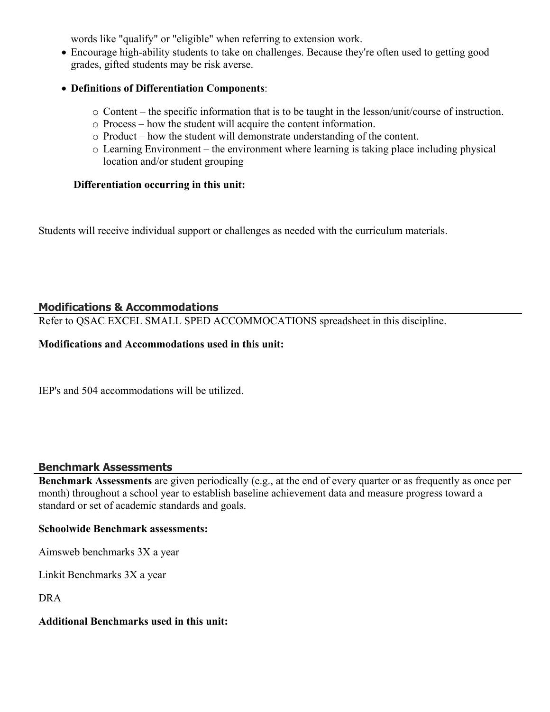words like "qualify" or "eligible" when referring to extension work.

- Encourage high-ability students to take on challenges. Because they're often used to getting good grades, gifted students may be risk averse.
- **Definitions of Differentiation Components**:
	- o Content the specific information that is to be taught in the lesson/unit/course of instruction.
	- o Process how the student will acquire the content information.
	- o Product how the student will demonstrate understanding of the content.
	- o Learning Environment the environment where learning is taking place including physical location and/or student grouping

#### **Differentiation occurring in this unit:**

Students will receive individual support or challenges as needed with the curriculum materials.

# **Modifications & Accommodations**

Refer to QSAC EXCEL SMALL SPED ACCOMMOCATIONS spreadsheet in this discipline.

#### **Modifications and Accommodations used in this unit:**

IEP's and 504 accommodations will be utilized.

#### **Benchmark Assessments**

**Benchmark Assessments** are given periodically (e.g., at the end of every quarter or as frequently as once per month) throughout a school year to establish baseline achievement data and measure progress toward a standard or set of academic standards and goals.

#### **Schoolwide Benchmark assessments:**

Aimsweb benchmarks 3X a year

Linkit Benchmarks 3X a year

DRA

#### **Additional Benchmarks used in this unit:**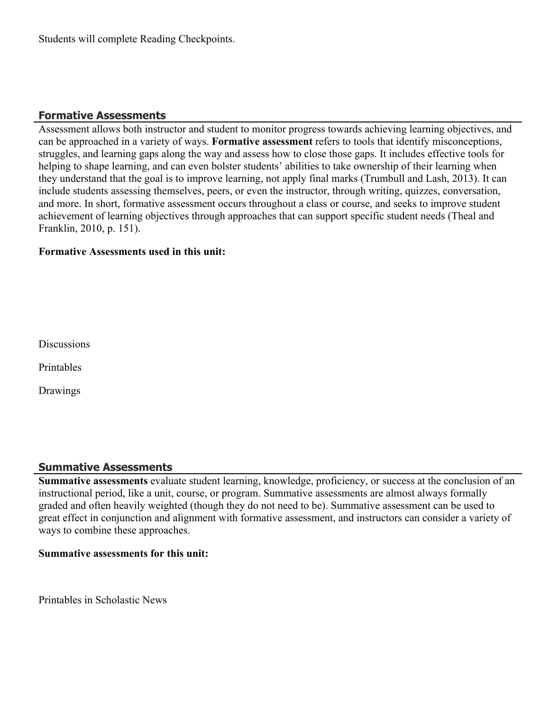## **Formative Assessments**

Assessment allows both instructor and student to monitor progress towards achieving learning objectives, and can be approached in a variety of ways. **Formative assessment** refers to tools that identify misconceptions, struggles, and learning gaps along the way and assess how to close those gaps. It includes effective tools for helping to shape learning, and can even bolster students' abilities to take ownership of their learning when they understand that the goal is to improve learning, not apply final marks (Trumbull and Lash, 2013). It can include students assessing themselves, peers, or even the instructor, through writing, quizzes, conversation, and more. In short, formative assessment occurs throughout a class or course, and seeks to improve student achievement of learning objectives through approaches that can support specific student needs (Theal and Franklin, 2010, p. 151).

#### **Formative Assessments used in this unit:**

**Discussions** 

Printables

Drawings

#### **Summative Assessments**

**Summative assessments** evaluate student learning, knowledge, proficiency, or success at the conclusion of an instructional period, like a unit, course, or program. Summative assessments are almost always formally graded and often heavily weighted (though they do not need to be). Summative assessment can be used to great effect in conjunction and alignment with formative assessment, and instructors can consider a variety of ways to combine these approaches.

#### **Summative assessments for this unit:**

Printables in Scholastic News